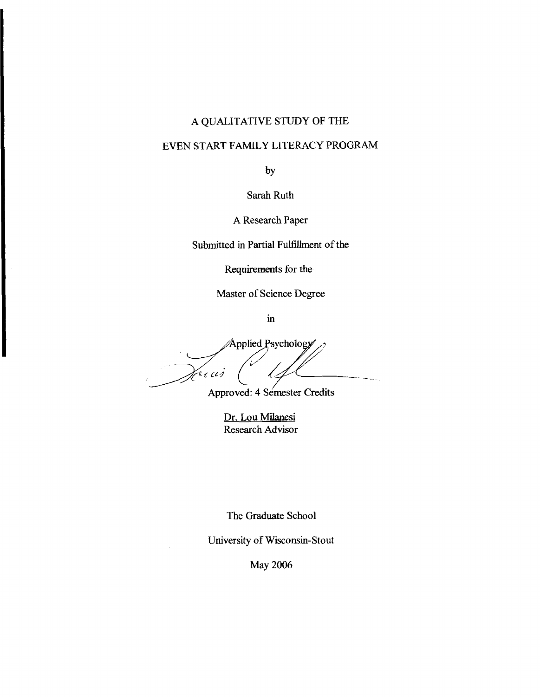# **A QUALITATIVE STUDY OF THE**

# **EVEN START FAMILY LITERACY PROGRAM**

**by** 

**Sarah Ruth** 

**A Research Paper** 

**Submitted in Partial Fulfillment of the** 

**Requirements for the** 

**Master of Science Degree** 

 $\mathbf{in}$ 

Applied Psychology rius L

Approved: 4 Semester Credits

**Dr. Lou Milanesi Research Advisor** 

**The Graduate School** 

**University of Wisconsin- Stout** 

**May 2006**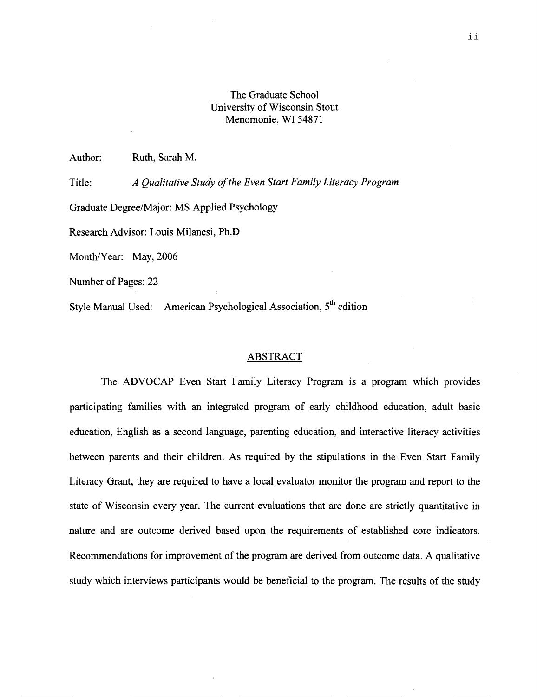## The Graduate School University of Wisconsin Stout Menomonie, WI 54871

Author: Ruth, Sarah M.

Title: *A Qualitative Study of the Even Start Family Literacy Program*  Graduate Degree/Major: MS Applied Psychology Research Advisor: Louis Milanesi, Ph.D Month/Year: May, 2006 Number of Pages: 22

Style Manual Used: American Psychological Association, **5"** edition

#### ABSTRACT

The ADVOCAP Even Start Family Literacy Program is a program which provides participating families with an integrated program of early childhood education, adult basic education, English as a second language, parenting education, and interactive literacy activities between parents and their children. As required by the stipulations in the Even Start Family Literacy Grant, they are required to have a local evaluator monitor the program and report to the state of Wisconsin every year. The current evaluations that are done are strictly quantitative in nature and are outcome derived based upon the requirements of established core indicators. Recommendations for improvement of the program are derived from outcome data. A qualitative study which interviews participants would be beneficial to the program. The results of the study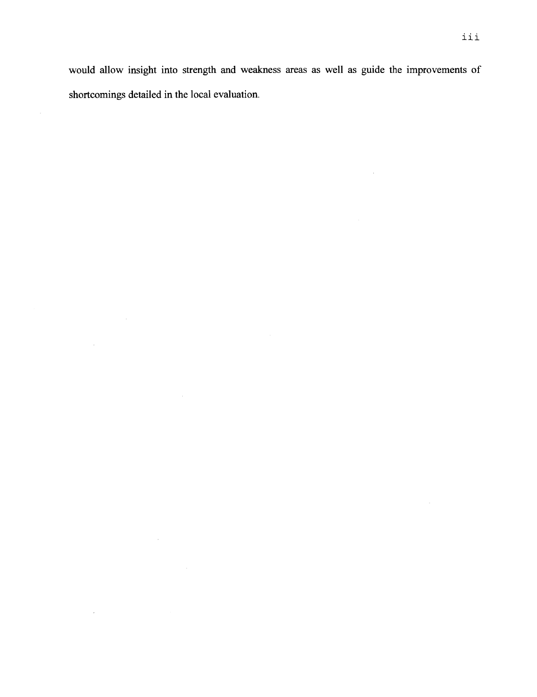would allow insight into strength and weakness areas as well as guide the improvements of shortcomings detailed in the local evaluation.

 $\sim 10^{-1}$ 

 $\sim$ 

 $\sim$ 

 $\sim$ 

 $\sim$   $\sim$ 

 $\sim$   $\sim$ 

 $\sim$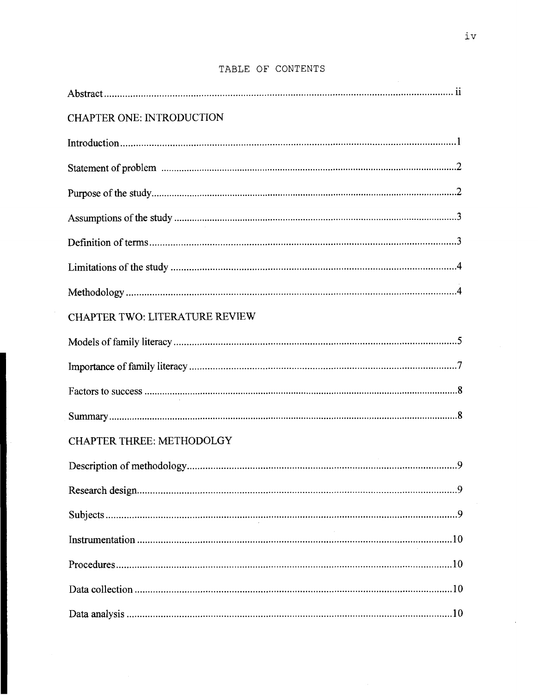| <b>CHAPTER ONE: INTRODUCTION</b> |
|----------------------------------|
|                                  |
|                                  |
|                                  |
|                                  |
|                                  |
|                                  |
|                                  |
| CHAPTER TWO: LITERATURE REVIEW   |
|                                  |
|                                  |
|                                  |
|                                  |
| <b>CHAPTER THREE: METHODOLGY</b> |
|                                  |
|                                  |
|                                  |
|                                  |
|                                  |
|                                  |
|                                  |

# TABLE OF CONTENTS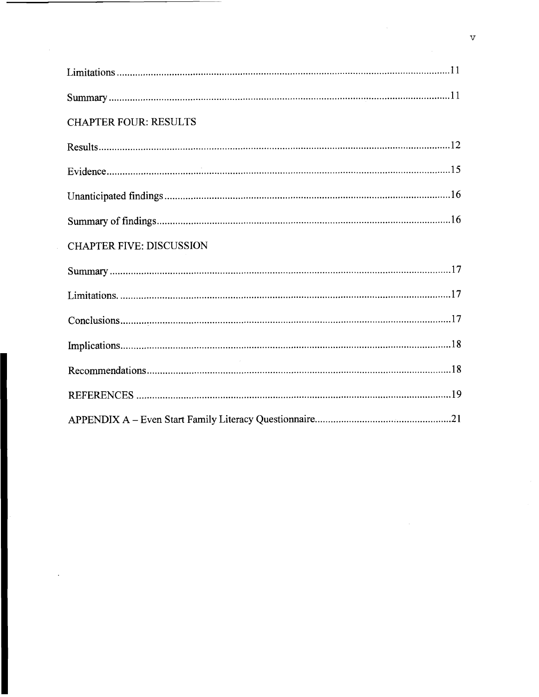| <b>CHAPTER FOUR: RESULTS</b>    |  |
|---------------------------------|--|
|                                 |  |
|                                 |  |
|                                 |  |
|                                 |  |
| <b>CHAPTER FIVE: DISCUSSION</b> |  |
|                                 |  |
|                                 |  |
|                                 |  |
|                                 |  |
|                                 |  |
|                                 |  |
|                                 |  |

 $\mathcal{L}(\mathcal{L})$  .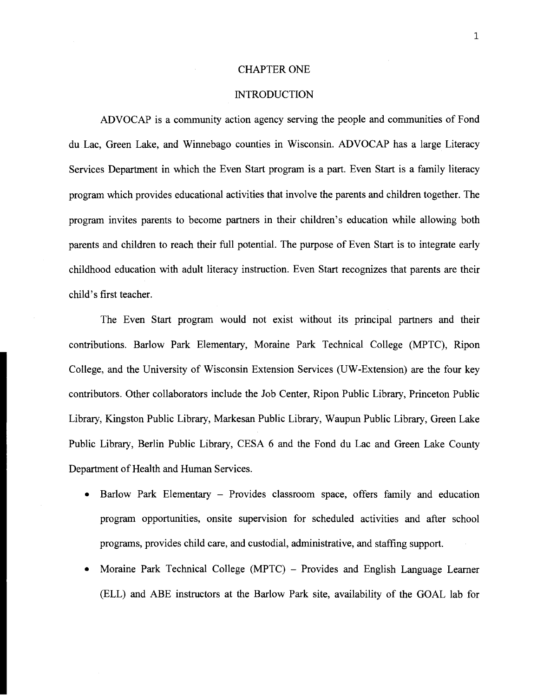#### CHAPTER ONE

#### **INTRODUCTION**

ADVOCAP is a community action agency serving the people and communities of Fond du Lac, Green Lake, and Winnebago counties in Wisconsin. ADVOCAP has a large Literacy Services Department in which the Even Start program is a part. Even Start is a family literacy program which provides educational activities that involve the parents and children together. The program invites parents to become partners in their children's education while allowing both parents and children to reach their full potential. The purpose of Even Start is to integrate early childhood education with adult literacy instruction. Even Start recognizes that parents are their child's first teacher.

The Even **Start** program would not exist without its principal partners and their contributions. Barlow Park Elementary, Moraine Park Technical College (MPTC), Ripon College, and the University of Wisconsin Extension Services (UW-Extension) are the four key contributors. Other collaborators include the Job Center, Ripon Public Library, Princeton Public Library, Kingston Public Library, Markesan Public Library, Waupun Public Library, Green Lake Public Library, Berlin Public Library, CESA *6* and the Fond du Lac and Green Lake County Department of Health and Human Services.

- Barlow Park Elementary Provides classroom space, offers family and education  $\bullet$ program opportunities, onsite supervision for scheduled activities and after school programs, provides child care, and custodial, administrative, and staffing support.
- Moraine Park Technical College (MPTC) Provides and English Language Learner  $\bullet$ (ELL) and ABE instructors at the Barlow Park site, availability of the GOAL lab for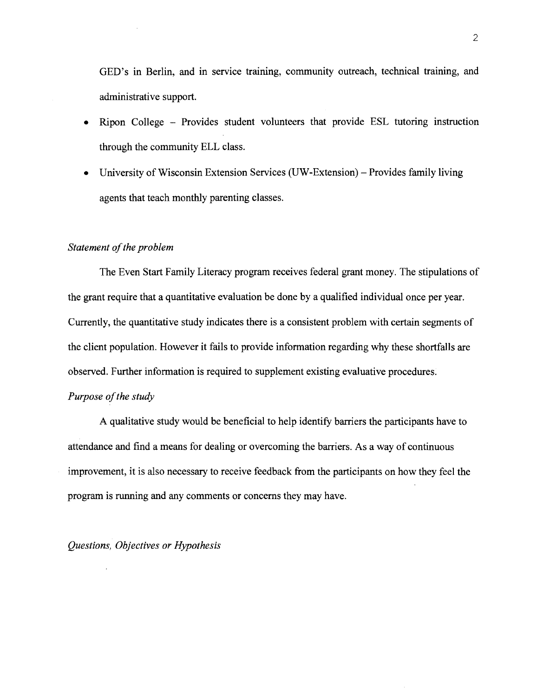GED's in Berlin, and in service training, community outreach, technical training, and administrative support.

- Ripon College Provides student volunteers that provide ESL tutoring instruction through the community ELL class.
- University of Wisconsin Extension Services (UW-Extension) Provides family living agents that teach monthly parenting classes.

## *Statement of the problem*

The Even Start Family Literacy program receives federal grant money. The stipulations of the grant require that a quantitative evaluation be done by a qualified individual once per year. Currently, the quantitative study indicates there is a consistent problem with certain segments of the client population. However it fails to provide information regarding why these shortfalls are observed. Further information is required to supplement existing evaluative procedures.

### *Purpose of the study*

A qualitative study would be beneficial to help identify barriers the participants have to attendance and find a means for dealing or overcoming the barriers. As a way of continuous improvement, it is also necessary to receive feedback from the participants on how they feel the program is running and any comments or concerns they may have.

*Questions, Objectives or Hypothesis*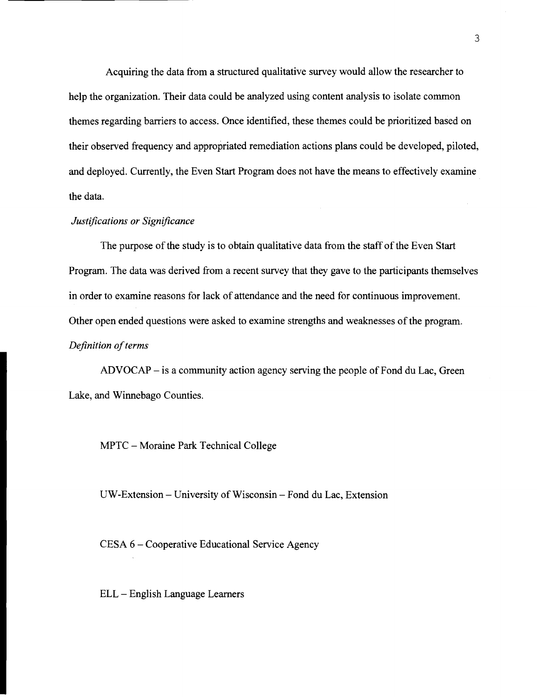Acquiring the data from a structured qualitative survey would allow the researcher to help the organization. Their data could be analyzed using content analysis to isolate common themes regarding barriers to access. Once identified, these themes could be prioritized based on their observed frequency and appropriated remediation actions plans could be developed, piloted, and deployed. Currently, the Even Start Program does not have the means to effectively examine the data.

#### *Justifications or Significance*

The purpose of the study is to obtain qualitative data from the staff of the Even Start Program. The data was derived from a recent survey that they gave to the participants themselves in order to examine reasons for lack of attendance and the need for continuous improvement. Other open ended questions were asked to examine strengths and weaknesses of the program. *Definition of terms* 

ADVOCAP - is a community action agency serving the people of Fond du Lac, Green Lake, and Winnebago Counties.

MPTC - Moraine Park Technical College

UW-Extension - University of Wisconsin - Fond du Lac, Extension

CESA 6 - Cooperative Educational Service Agency

ELL - English Language Learners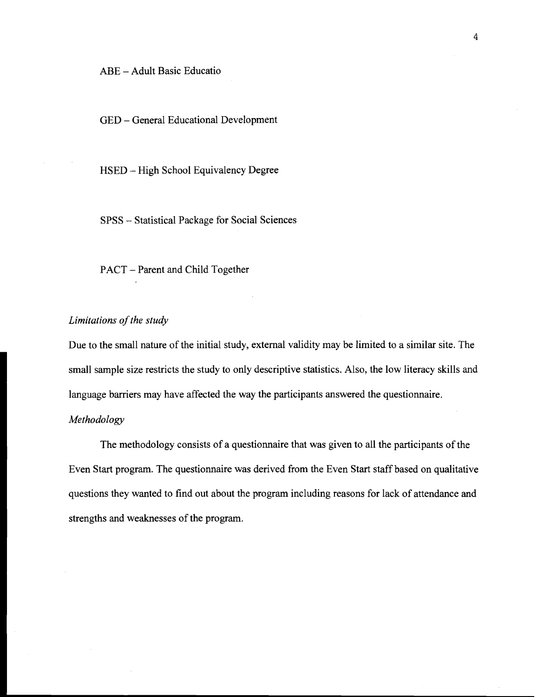ABE - Adult Basic Educatio

GED - General Educational Development

HSED - High School Equivalency Degree

SPSS - Statistical Package for Social Sciences

PACT - Parent and Child Together

# *Limitations of the study*

Due to the small nature of the initial study, external validity may be limited to a similar site. The small sample size restricts the study to only descriptive statistics. Also, the low literacy skills and language barriers may have affected the way the participants answered the questionnaire.

## *Methodology*

The methodology consists of a questionnaire that was given to all the participants of the Even Start program. The questionnaire was derived from the Even Start staff based on qualitative questions they wanted to find out about the program including reasons for lack of attendance and strengths and weaknesses of the program.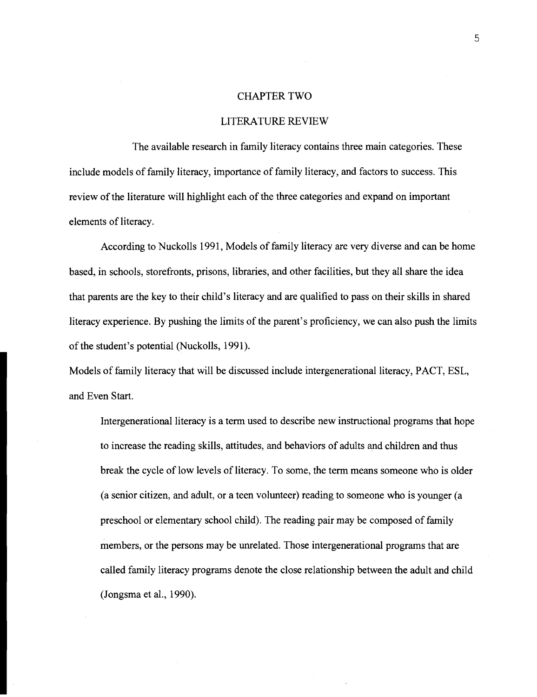#### CHAPTER TWO

### LITERATURE REVIEW

The available research in family literacy contains three main categories. These include models of family literacy, importance of family literacy, and factors to success. This review of the literature will highlight each of the three categories and expand on important elements of literacy.

According to Nuckolls 1991, Models of family literacy are very diverse and can be home based, in schools, storefronts, prisons, libraries, and other facilities, but they all share the idea that parents are the key to their child's literacy and are qualified to pass on their skills in shared literacy experience. By pushing the limits of the parent's proficiency, we can also push the limits of the student's potential (Nuckolls, 1991).

Models of family literacy that will be discussed include intergenerational literacy, PACT, ESL, and Even Start.

Intergenerational literacy is a term used to describe new instructional programs that hope to increase the reading skills, attitudes, and behaviors of adults and children and thus break the cycle of low levels of literacy. To some, the term means someone who is older (a senior citizen, and adult, or a teen volunteer) reading to someone who is younger (a preschool or elementary school child). The reading pair may be composed of family members, or the persons may be unrelated. Those intergenerational programs that are called family literacy programs denote the close relationship between the adult and child (Jongsma et al., 1990).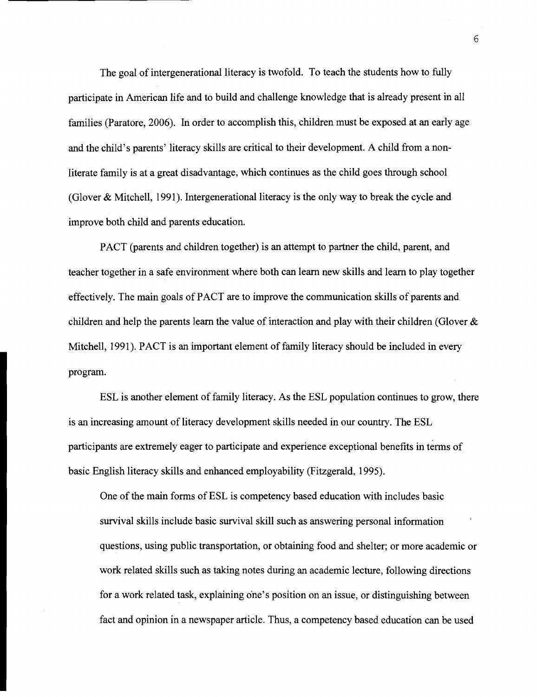The goal of intergenerational literacy is twofold. To teach the students how to fully participate in American life and to build and challenge knowledge that is already present in all families (Paratore, 2006). In order to accomplish this, children must be exposed at an early age and the child's parents' literacy skills are critical to their development. A child from a nonliterate family is at a great disadvantage, which continues as the child goes through school (Glover & Mitchell, 1991). Intergenerational literacy is the only way to break the cycle and improve both child and parents education.

PACT (parents and children together) is an attempt to partner the child, parent, and teacher together in a safe environment where both can learn new skills and learn to play together effectively. The main goals of PACT are to improve the communication skills of parents and children and help the parents learn the value of interaction and play with their children (Glover  $\&$ Mitchell, 1991). PACT is an important element of family literacy should be included in every program.

ESL is another element of family literacy. As the ESL population continues to grow, there is an increasing amount of literacy development skills needed in our country. The ESL participants are extremely eager to participate and experience exceptional benefits in terms of basic English literacy skills and enhanced employability (Fitzgerald, 1995).

One of the main forms of ESL is competency based education with includes basic survival skills include basic survival skill such as answering personal information questions, using public transportation, or obtaining food and shelter; or more academic or work related skills such as taking notes during an academic lecture, following directions for a work related task, explaining one's position on an issue, or distinguishing between fact and opinion in a newspaper article. Thus, a competency based education can be used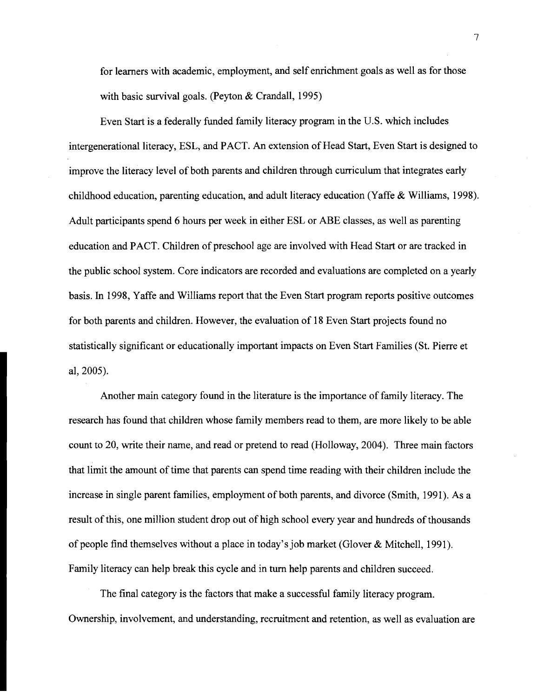for learners with academic, employment, and self enrichment goals as well as for those with basic survival goals. (Peyton & Crandall, 1995)

Even Start is a federally funded family literacy program in the U.S. which includes intergenerational literacy, ESL, and PACT. An extension of Head Start, Even Start is designed to improve the literacy level of both parents and children through curriculum that integrates early childhood education, parenting education, and adult literacy education (Yaffe & Williams, 1998). Adult participants spend *6* hours per week in either ESL or ABE classes, as well as parenting education and PACT. Children of preschool age are involved with Head Start or are tracked in the public school system. Core indicators are recorded and evaluations are completed on a yearly basis. In 1998, Yaffe and Williams report that the Even Start program reports positive outcomes for both parents and children. However, the evaluation of 18 Even Start projects found no statistically significant or educationally important impacts on Even Start Families (St. Pierre et al, 2005).

Another main category found in the literature is the importance of family literacy. The research has found that children whose family members read to them, are more likely to be able count to 20, write their name, and read or pretend to read (Holloway, 2004). Three main factors that limit the amount of time that parents can spend time reading with their children include the increase in single parent families, employment of both parents, and divorce (Smith, 1991). As a result of this, one million student drop out of high school every year and hundreds of thousands of people find themselves without a place in today's job market (Glover & Mitchell, 1991). Family literacy can help break this cycle and in turn help parents and children succeed.

The final category is the factors that make a successful family literacy program. Ownership, involvement, and understanding, recruitment and retention, as well as evaluation are

 $\overline{7}$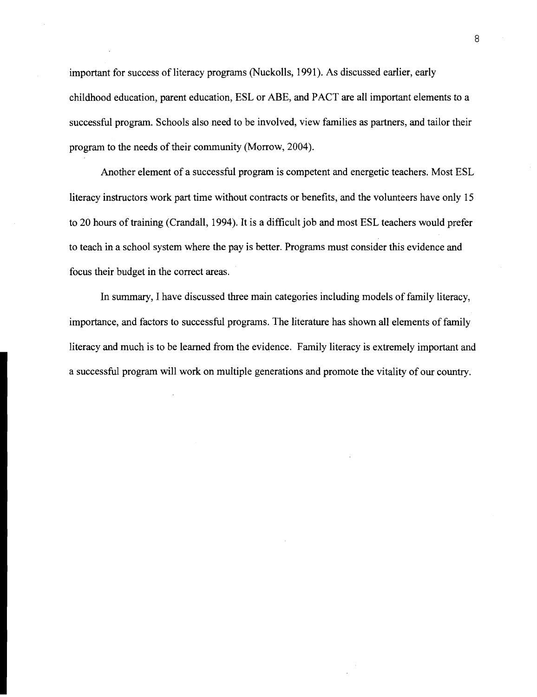important for success of literacy programs (Nuckolls, 1991). As discussed earlier, early childhood education, parent education, ESL or ABE, and PACT are all important elements to a successful program. Schools also need to be involved, view families as partners, and tailor their program to the needs of their community (Morrow, 2004).

Another element of a successful program is competent and energetic teachers. Most ESL literacy instructors work part time without contracts or benefits, and the volunteers have only 15 to 20 hours of training (Crandall, 1994). It is a difficult job and most ESL teachers would prefer to teach in a school system where the pay is better. Programs must consider this evidence and focus their budget in the correct areas.

In summary, I have discussed three main categories including models of family literacy, importance, and factors to successful programs. The literature has shown all elements of family literacy and much is to be learned from the evidence. Family literacy is extremely important and a successful program will work on multiple generations and promote the vitality of our country.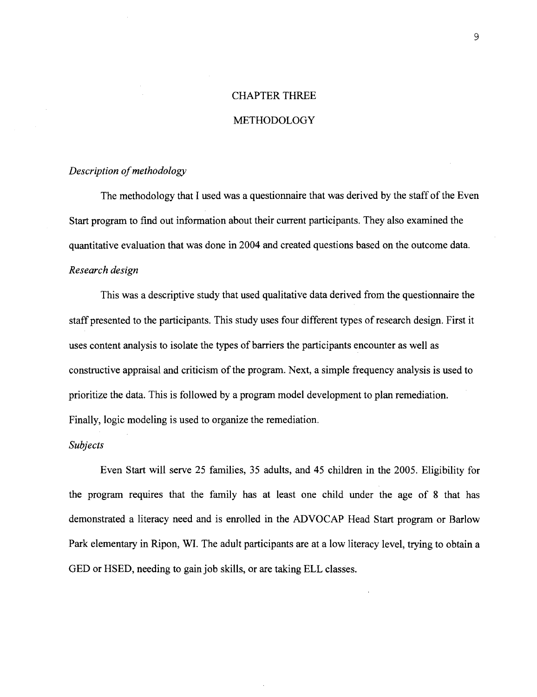# CHAPTER THREE

### METHODOLOGY

#### *Description of methodology*

The methodology that I used was a questionnaire that was derived by the staff of the Even Start program to find out information about their current participants. They also examined the quantitative evaluation that was done in 2004 and created questions based on the outcome data. *Research design* 

This was a descriptive study that used qualitative data derived from the questionnaire the staff presented to the participants. This study uses four different types of research design. First it uses content analysis to isolate the types of barriers the participants encounter as well as constructive appraisal and criticism of the program. Next, a simple frequency analysis is used to prioritize the data. This is followed by a program model development to plan remediation. Finally, logic modeling is used to organize the remediation.

#### *Subjects*

Even Start will serve 25 families, 35 adults, and 45 children in the 2005. Eligibility for the program requires that the family has at least one child under the age of 8 that has demonstrated a literacy need and is enrolled in the ADVOCAP Head Start program or Barlow Park elementary in Ripon, WI. The adult participants are at a low literacy level, trying to obtain a GED or HSED, needing to gain job skills, or are taking ELL classes.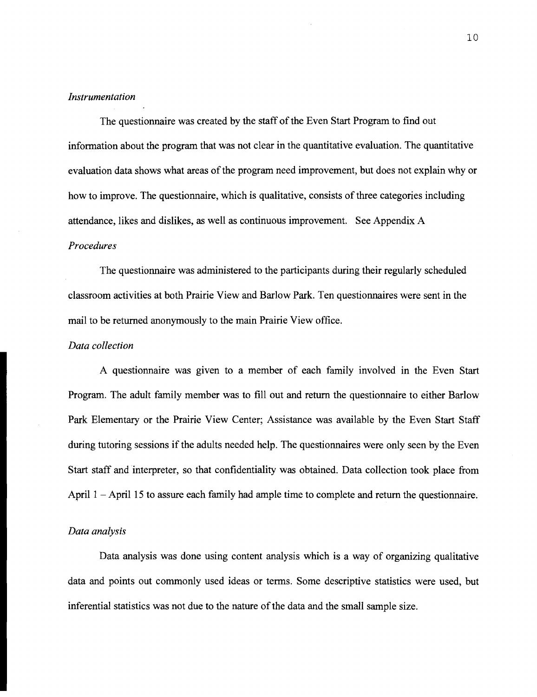## *Instrumentation*

The questionnaire was created by the staff of the Even Start Program to find out information about the program that was not clear in the quantitative evaluation. The quantitative evaluation data shows what areas of the program need improvement, but does not explain why or how to improve. The questionnaire, which is qualitative, consists of three categories including attendance, likes and dislikes, as well as continuous improvement. See Appendix A *Procedures* 

The questionnaire was administered to the participants during their regularly scheduled classroom activities at both Prairie View and Barlow Park. Ten questionnaires were sent in the mail to be returned anonymously to the main Prairie View office.

#### *Data collection*

A questionnaire was given to a member of each family involved in the Even Start Program. The adult family member was to fill out and return the questionnaire to either Barlow Park Elementary or the Prairie View Center; Assistance was available by the Even Start Staff during tutoring sessions if the adults needed help. The questionnaires were only seen by the Even Start staff and interpreter, so that confidentiality was obtained. Data collection took place from April  $1 -$ April 15 to assure each family had ample time to complete and return the questionnaire.

#### *Data analysis*

Data analysis was done using content analysis which is a way of organizing qualitative data and points out commonly used ideas or terms. Some descriptive statistics were used, but inferential statistics was not due to the nature of the data and the small sample size.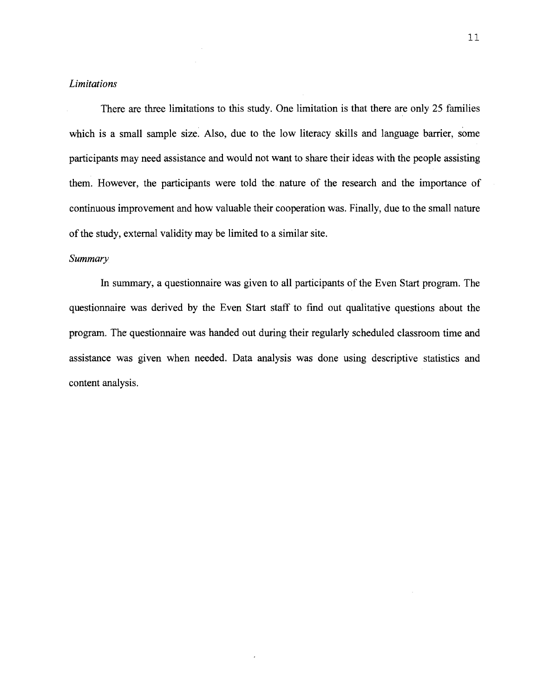#### *Limitations*

There are three limitations to this study. One limitation is that there are only 25 families which is a small sample size. Also, due to the low literacy skills and language barrier, some participants may need assistance and would not want to share their ideas with the people assisting them. However, the participants were told the nature of the research and the importance of continuous improvement and how valuable their cooperation was. Finally, due to the small nature of the study, external validity may be limited to a similar site.

#### *Summary*

In summary, a questionnaire was given to all participants of the Even Start program. The questionnaire was derived by the Even Start staff to find out qualitative questions about the program. The questionnaire was handed out during their regularly scheduled classroom time and assistance was given when needed. Data analysis was done using descriptive statistics and content analysis.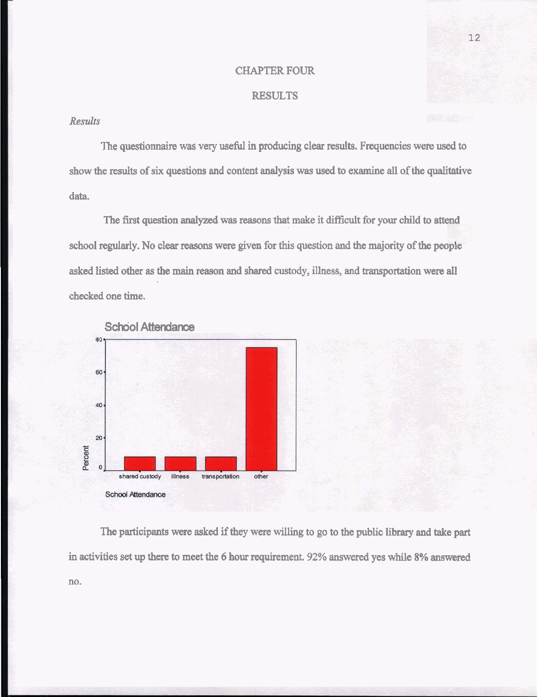#### **CHAPTER FOUR**

## **RESULTS**

### *Results*

The questionnaire **was** very useful in producing clear results. Frequencies were used to show the results of six questions and content analysis was used to examine all of **the** qualitative data.

The first question analyzed was reasons that make it difficult for your child to attend school regularly. No clear reasons were given for this question and the majority of **the** people asked listed other as the main reason and shared custody, illness, and transportation were all checked one time.





The participants were asked if they were willing to go to the public library and take part in activities set up there to meet the 6 hour requirement. 92% answered yes while 8% answered no.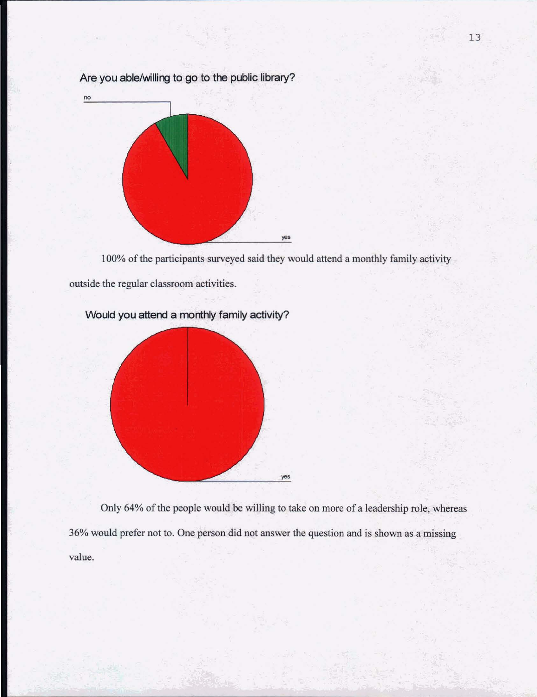

Are you able/willing to go to the public library?

100% of the participants surveyed said they would attend a monthly family activity

outside the regular classroom activities.



Would you attend a monthly family activity?

Only 64% of the people would be willing to take on more of a leadership role, whereas 36% would prefer not to. One person did not answer the question and is shown as a missing value.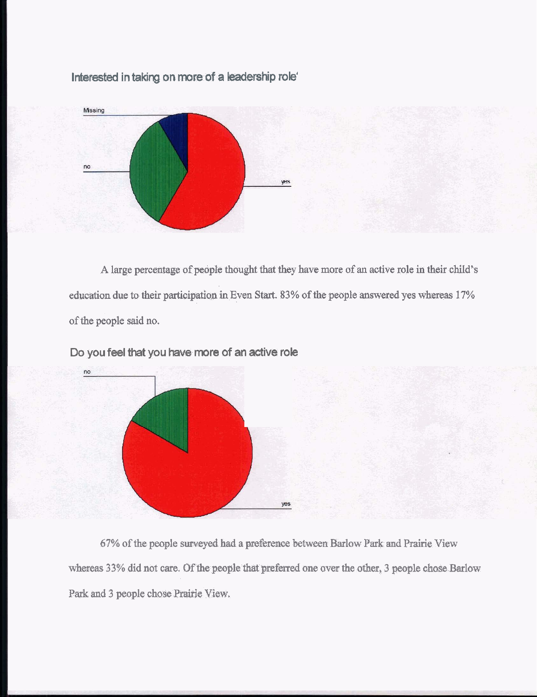**Interested in taking on more of a leadership role'** 



A large percentage of people thought that they have more of an active role in their child's education due to their participation in Even **Start.** 83% of the people answered yes whereas 17% of the people said no.



**Do you feel that you have more of an active role** 

67% of the people surveyed had a preference between Barlow Park and Prairie View whereas **33%** did not care. Of the people that **preferred** one over the other, **3** people **chase** Barlow Park and **3** people chose Prairie View,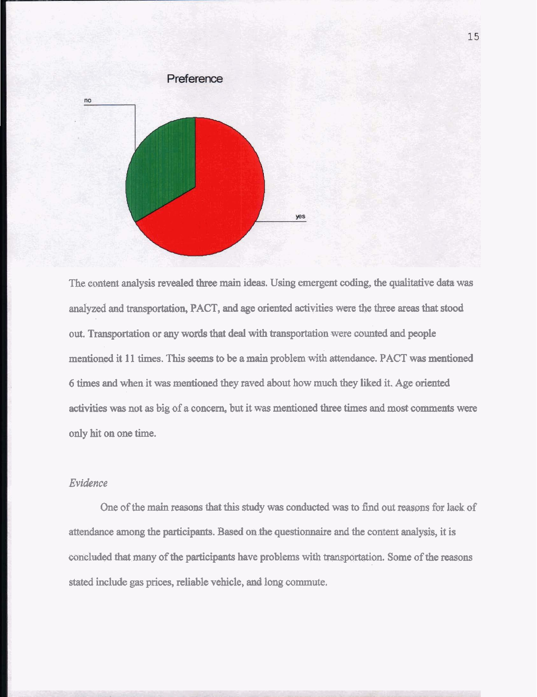

The content analysis revealed three main ideas. Using emergent coding, **the** qualitative data was analyzed and transportation, PACT, and age oriented activities were the **three** areas that stood out. Transportation or any words that **deal** with transportation were counted and people mentioned it 11 times. This **seems** to be a **main** problem with attendance. PACT was mentioned 6 times and when it was mentioned they raved about how much they liked it. Age oriented activities was not as big of a concern, but it was mentioned three times and most comments were only hit on one time.

# *Evidence*

One of the main reasons that this study was conducted was to find out reasons for lack of attendance among the participants. Based on the questionnaire and the content analysis, it is concluded that many of the participants have problems with transportation. Some of the reasons stated include gas prices, reliable vehicle, and long commute.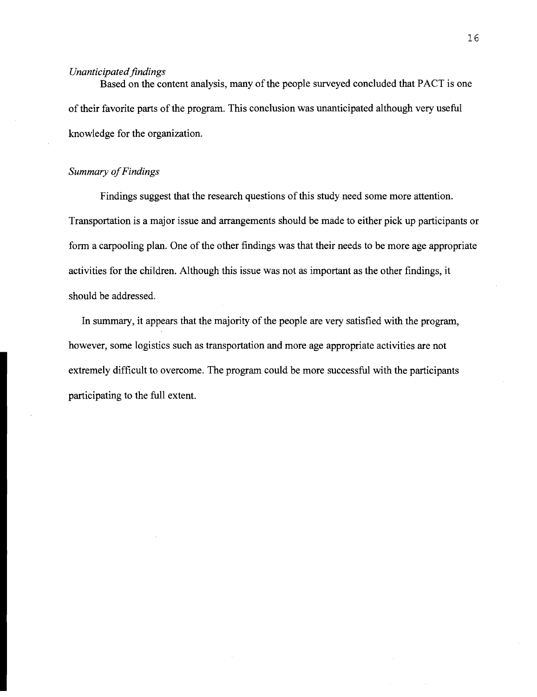### *Unanticipated findings*

Based on the content analysis, many of the people surveyed concluded that PACT is one of their favorite parts of the program. This conclusion was unanticipated although very useful knowledge for the organization.

# *Summary of Findings*

Findings suggest that the research questions of this study need some more attention. Transportation is a major issue and arrangements should be made to either pick up participants or form a carpooling plan. One of the other findings was that their needs to be more age appropriate activities for the children. Although this issue was not as important as the other findings, it should be addressed.

In summary, it appears that the majority of the people are very satisfied with the program, however, some logistics such as transportation and more age appropriate activities are not extremely difficult to overcome. The program could be more successful with the participants participating to the full extent.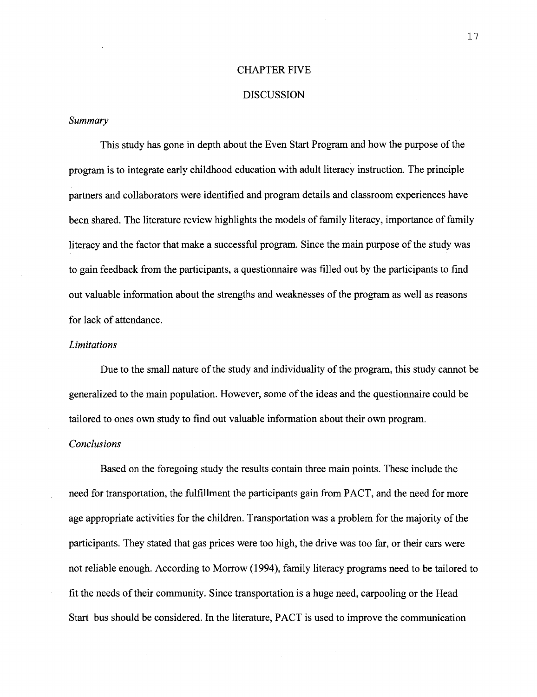#### CHAPTER FIVE

#### DISCUSSION

## *Summary*

This study has gone in depth about the Even Start Program and how the purpose of the program is to integrate early childhood education with adult literacy instruction. The principle partners and collaborators were identified and program details and classroom experiences have been shared. The literature review highlights the models of family literacy, importance of family literacy and the factor that make a successful program. Since the main purpose of the study was to gain feedback from the participants, a questionnaire was filled out by the participants to find out valuable information about the strengths and weaknesses of the program as well as reasons for lack of attendance.

#### *Limitations*

Due to the small nature of the study and individuality of the program, this study cannot be generalized to the main population. However, some of the ideas and the questionnaire could be tailored to ones own study to find out valuable information about their own program.

#### *Conclusions*

Based on the foregoing study the results contain three main points. These include the need for transportation, the fulfillment the participants gain from PACT, and the need for more age appropriate activities for the children. Transportation was a problem for the majority of the participants. They stated that gas prices were too high, the drive was too far, or their cars were not reliable enough. According to Morrow (1994), family literacy programs need to be tailored to fit the needs of their community. Since transportation is a huge need, carpooling or the Head Start bus should be considered. In the literature, PACT is used to improve the communication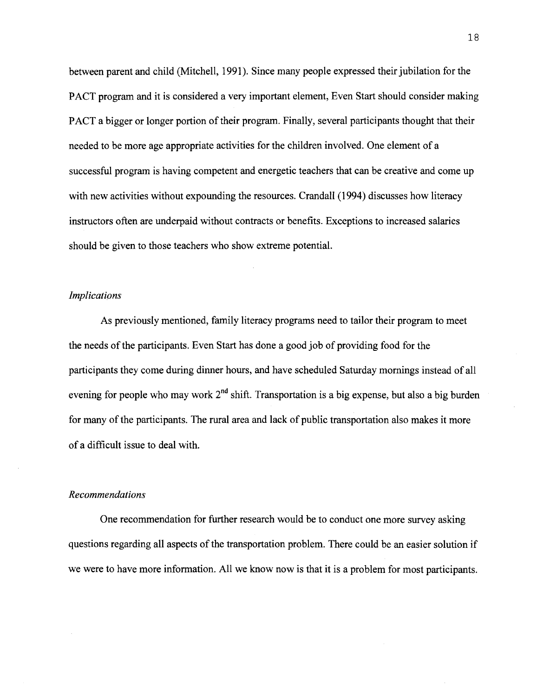between parent and child (Mitchell, 1991). Since many people expressed their jubilation for the PACT program and it is considered a very important element, Even Start should consider making PACT a bigger or longer portion of their program. Finally, several participants thought that their needed to be more age appropriate activities for the children involved. One element of a successful program is having competent and energetic teachers that can be creative and come up with new activities without expounding the resources. Crandall (1994) discusses how literacy instructors often are underpaid without contracts or benefits. Exceptions to increased salaries should be given to those teachers who show extreme potential.

#### *Implications*

As previously mentioned, family literacy programs need to tailor their program to meet the needs of the participants. Even Start has done a good job of providing food for the participants they come during dinner hours, and have scheduled Saturday mornings instead of all evening for people who may work **2nd** shift. Transportation is a big expense, but also a big burden for many of the participants. The rural area and lack of public transportation also makes it more of a difficult issue to deal with.

#### *Recommendations*

One recommendation for further research would be to conduct one more survey asking questions regarding all aspects of the transportation problem. There could be an easier solution if we were to have more information. All we know now is that it is a problem for most participants.

18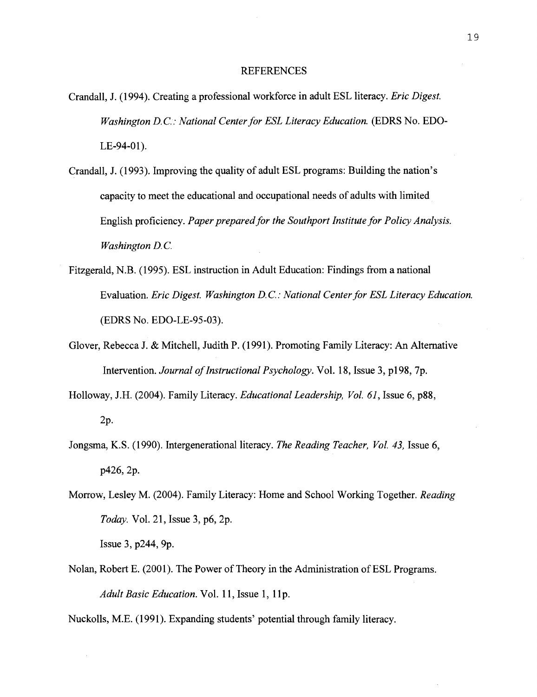#### **REFERENCES**

- Crandall, J. (1994). Creating a professional workforce in adult ESL literacy. *Eric Digest. Washington D.C.: National Center for ESL Literacy Education.* (EDRS No. EDO- $LE-94-01$ ).
- Crandall, J. (1993). Improving the quality of adult ESL programs: Building the nation's capacity to meet the educational and occupational needs of adults with limited English proficiency. *Paper prepared for the Southport Institute for Policy Analysis. Washington D.C.*
- Fitzgerald, N.B. (1995). ESL instruction in Adult Education: Findings from a national Evaluation. *Eric Digest. Washington D. C.* : *National Center for ESL Literacy Education.*  (EDRS NO. EDO-LE-95-03).
- Glover, Rebecca J. & Mitchell, Judith P. (1991). Promoting Family Literacy: An Alternative Intervention. *Journal of Instructional Psychology.* Vol. 18, Issue 3, p198,7p.
- Holloway, J.H. (2004). Family Literacy. *Educational Leadership, Vol. 61,* Issue *6,* p88, 2p.
- Jongsma, K.S. (1990). Intergenerational literacy. *The Reading Teacher, Vol. 43,* Issue 6, p426,2p.
- Morrow, Lesley M. (2004). Family Literacy: Home and School Working Together. *Reading Today.* Vol. 21, Issue **3,** p6,2p. Issue 3, p244,9p.
- Nolan, Robert E. (2001). The Power of Theory in the Administration of ESL Programs. Adult Basic Education. Vol. 11, Issue 1, 11p.

Nuckolls, M.E. (1991). Expanding students' potential through family literacy.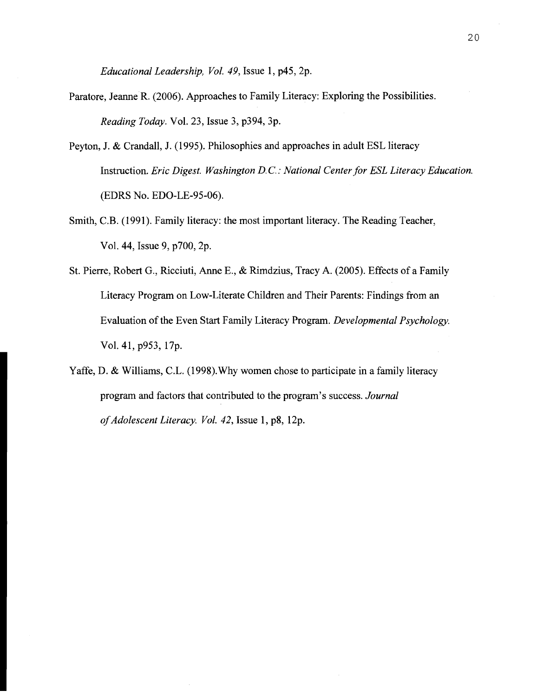*Educational Leadership, Vol.* 49, Issue 1, p45,2p.

- Paratore, Jeanne R. (2006). Approaches to Family Literacy: Exploring the Possibilities. *Reading Today.* Vol. 23, Issue 3, p394, 3p.
- Peyton, J. & Crandall, J. (1995). Philosophies and approaches in adult ESL literacy Instruction. *Eric Digest. Washington D. C.* : *National Center for ESL Literacy Education.*  (EDRS NO. EDO-LE-95-06).
- Smith, C.B. (1991). Family literacy: the most important literacy. The Reading Teacher, Vol. 44, Issue 9, p700,2p.
- St. Pierre, Robert G., Ricciuti, Anne E., & Rimdzius, Tracy A. (2005). Effects of a Family Literacy Program on Low-Literate Children and Their Parents: Findings from an Evaluation of the Even Start Family Literacy Program. *Developmental Psychology.*  Vol. 41, p953, 17p.
- Yaffe, D. & Williams, C.L. (1998). Why women chose to participate in a family literacy program and factors that contributed to the program's success. *Journal of Adolescent Literacy. Vol.* 42, Issue 1, p8, 12p.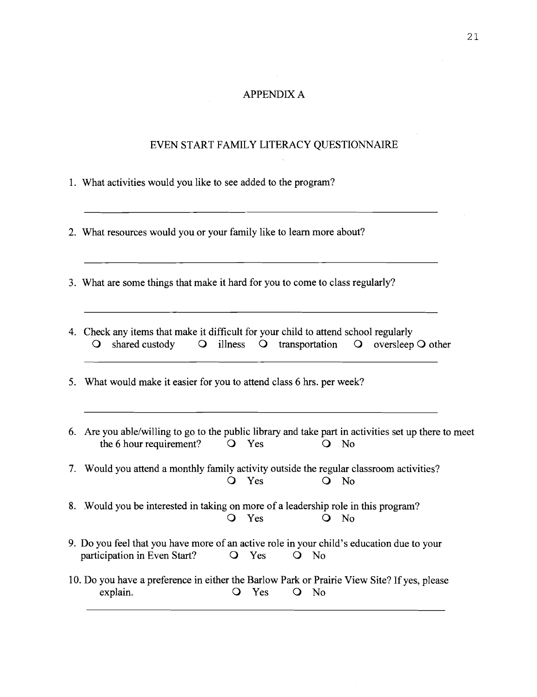## APPENDIX A

## EVEN START FAMILY LITERACY QUESTIONNAIRE

- 1. What activities would you like to see added to the program?
- 2. What resources would you or your family like to learn more about?
- **3.** What are some things that make it hard for you to come to class regularly?
- 4. Check any items that make it difficult for your child to attend school regularly 0 shared custody 0 illness 0 transportation 0 oversleep 0 other
- 5. What would make it easier for you to attend class *6* hrs. per week?
- 6. Are you able/willing to go to the public library and take part in activities set up there to meet the 6 hour requirement? O Yes O No 7. Would you attend a monthly family activity outside the regular classroom activities? 0 Yes 0 No 8. Would you be interested in taking on more of a leadership role in this program? 0 Yes 0 No 9. Do you feel that you have more of an active role in your child's education due to your participation in Even Start? 
Q Yes 
Q No 10. Do you have a preference in either the Barlow Park or Prairie View Site? If yes, please explain.  $Q$  Yes  $Q$  No